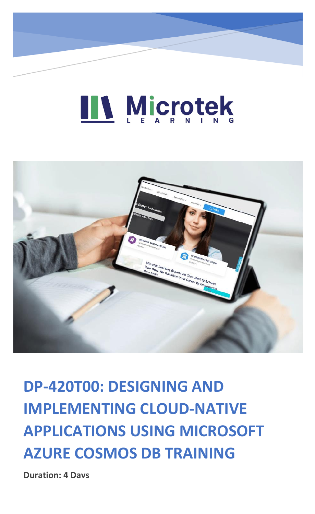# LL Microtek



**DP-420T00: DESIGNING AND IMPLEMENTING CLOUD-NATIVE APPLICATIONS USING MICROSOFT AZURE COSMOS DB TRAINING**

**Duration: 4 Days**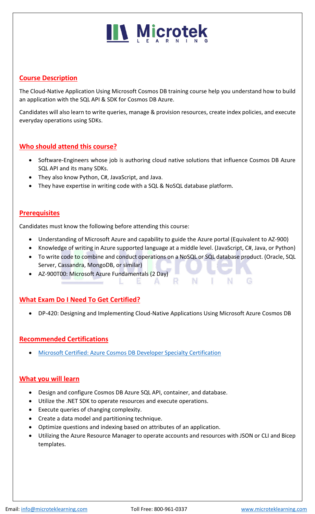# **IN Microtek**

# **Course Description**

The Cloud-Native Application Using Microsoft Cosmos DB training course help you understand how to build an application with the SQL API & SDK for Cosmos DB Azure.

Candidates will also learn to write queries, manage & provision resources, create index policies, and execute everyday operations using SDKs.

# **Who should attend this course?**

- Software-Engineers whose job is authoring cloud native solutions that influence Cosmos DB Azure SQL API and its many SDKs.
- They also know Python, C#, JavaScript, and Java.
- They have expertise in writing code with a SQL & NoSQL database platform.

## **Prerequisites**

Candidates must know the following before attending this course:

- Understanding of Microsoft Azure and capability to guide the Azure portal (Equivalent to AZ-900)
- Knowledge of writing in Azure supported language at a middle level. (JavaScript, C#, Java, or Python)
- To write code to combine and conduct operations on a NoSQL or SQL database product. (Oracle, SQL Server, Cassandra, MongoDB, or similar)

 $\mathbf{A}$ 

R.

N

N I

• AZ-900T00: Microsoft Azure Fundamentals (2 Day)

## **What Exam Do I Need To Get Certified?**

• DP-420: Designing and Implementing Cloud-Native Applications Using Microsoft Azure Cosmos DB

## **Recommended Certifications**

• [Microsoft Certified: Azure Cosmos DB Developer Specialty Certification](https://www.microteklearning.com/microsoft-certified-azure-cosmos-db-developer-specialty-certification/)

## **What you will learn**

- Design and configure Cosmos DB Azure SQL API, container, and database.
- Utilize the .NET SDK to operate resources and execute operations.
- Execute queries of changing complexity.
- Create a data model and partitioning technique.
- Optimize questions and indexing based on attributes of an application.
- Utilizing the Azure Resource Manager to operate accounts and resources with JSON or CLI and Bicep templates.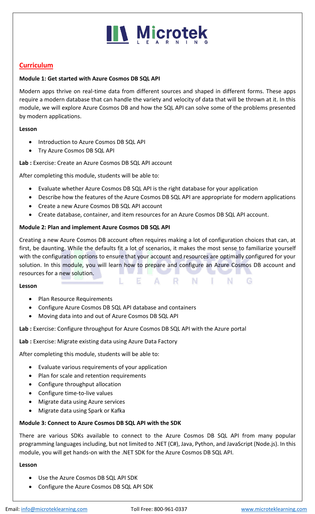

# **Curriculum**

#### **Module 1: Get started with Azure Cosmos DB SQL API**

Modern apps thrive on real-time data from different sources and shaped in different forms. These apps require a modern database that can handle the variety and velocity of data that will be thrown at it. In this module, we will explore Azure Cosmos DB and how the SQL API can solve some of the problems presented by modern applications.

#### **Lesson**

- Introduction to Azure Cosmos DB SQL API
- Try Azure Cosmos DB SQL API

**Lab :** Exercise: Create an Azure Cosmos DB SQL API account

After completing this module, students will be able to:

- Evaluate whether Azure Cosmos DB SQL API is the right database for your application
- Describe how the features of the Azure Cosmos DB SQL API are appropriate for modern applications
- Create a new Azure Cosmos DB SQL API account
- Create database, container, and item resources for an Azure Cosmos DB SQL API account.

#### **Module 2: Plan and implement Azure Cosmos DB SQL API**

Creating a new Azure Cosmos DB account often requires making a lot of configuration choices that can, at first, be daunting. While the defaults fit a lot of scenarios, it makes the most sense to familiarize yourself with the configuration options to ensure that your account and resources are optimally configured for your solution. In this module, you will learn how to prepare and configure an Azure Cosmos DB account and resources for a new solution.

 $\mathbf{A}$ 

- R -

 $N$   $\Box$ 

N G

#### **Lesson**

- Plan Resource Requirements
- Configure Azure Cosmos DB SQL API database and containers
- Moving data into and out of Azure Cosmos DB SQL API

**Lab :** Exercise: Configure throughput for Azure Cosmos DB SQL API with the Azure portal

- E

**Lab :** Exercise: Migrate existing data using Azure Data Factory

After completing this module, students will be able to:

- Evaluate various requirements of your application
- Plan for scale and retention requirements
- Configure throughput allocation
- Configure time-to-live values
- Migrate data using Azure services
- Migrate data using Spark or Kafka

#### **Module 3: Connect to Azure Cosmos DB SQL API with the SDK**

There are various SDKs available to connect to the Azure Cosmos DB SQL API from many popular programming languages including, but not limited to .NET (C#), Java, Python, and JavaScript (Node.js). In this module, you will get hands-on with the .NET SDK for the Azure Cosmos DB SQL API.

#### **Lesson**

- Use the Azure Cosmos DB SQL API SDK
- Configure the Azure Cosmos DB SQL API SDK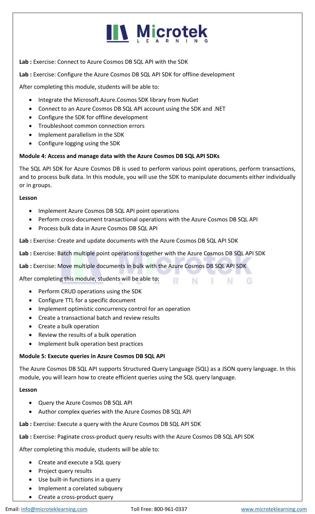# **IIV Microtek**

**Lab :** Exercise: Connect to Azure Cosmos DB SQL API with the SDK

**Lab :** Exercise: Configure the Azure Cosmos DB SQL API SDK for offline development

After completing this module, students will be able to:

- Integrate the Microsoft.Azure.Cosmos SDK library from NuGet
- Connect to an Azure Cosmos DB SQL API account using the SDK and .NET
- Configure the SDK for offline development
- Troubleshoot common connection errors
- Implement parallelism in the SDK
- Configure logging using the SDK

### **Module 4: Access and manage data with the Azure Cosmos DB SQL API SDKs**

The SQL API SDK for Azure Cosmos DB is used to perform various point operations, perform transactions, and to process bulk data. In this module, you will use the SDK to manipulate documents either individually or in groups.

#### **Lesson**

- Implement Azure Cosmos DB SQL API point operations
- Perform cross-document transactional operations with the Azure Cosmos DB SQL API
- Process bulk data in Azure Cosmos DB SQL API

**Lab :** Exercise: Create and update documents with the Azure Cosmos DB SQL API SDK

**Lab :** Exercise: Batch multiple point operations together with the Azure Cosmos DB SQL API SDK

**Lab :** Exercise: Move multiple documents in bulk with the Azure Cosmos DB SQL API SDK

After completing this module, students will be able to:

- Perform CRUD operations using the SDK
- Configure TTL for a specific document
- Implement optimistic concurrency control for an operation
- Create a transactional batch and review results
- Create a bulk operation
- Review the results of a bulk operation
- Implement bulk operation best practices

#### **Module 5: Execute queries in Azure Cosmos DB SQL API**

The Azure Cosmos DB SQL API supports Structured Query Language (SQL) as a JSON query language. In this module, you will learn how to create efficient queries using the SQL query language.

R N

- 11

N.

- G

#### **Lesson**

- Query the Azure Cosmos DB SQL API
- Author complex queries with the Azure Cosmos DB SQL API

**Lab :** Exercise: Execute a query with the Azure Cosmos DB SQL API SDK

**Lab :** Exercise: Paginate cross-product query results with the Azure Cosmos DB SQL API SDK

After completing this module, students will be able to:

- Create and execute a SQL query
- Project query results
- Use built-in functions in a query
- Implement a corelated subquery
- Create a cross-product query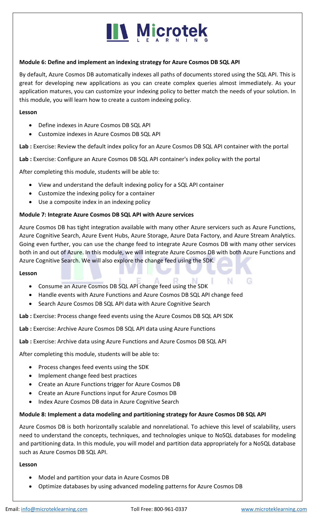# **III Microtek**

#### **Module 6: Define and implement an indexing strategy for Azure Cosmos DB SQL API**

By default, Azure Cosmos DB automatically indexes all paths of documents stored using the SQL API. This is great for developing new applications as you can create complex queries almost immediately. As your application matures, you can customize your indexing policy to better match the needs of your solution. In this module, you will learn how to create a custom indexing policy.

#### **Lesson**

- Define indexes in Azure Cosmos DB SQL API
- Customize indexes in Azure Cosmos DB SQL API

**Lab :** Exercise: Review the default index policy for an Azure Cosmos DB SQL API container with the portal

**Lab :** Exercise: Configure an Azure Cosmos DB SQL API container's index policy with the portal

After completing this module, students will be able to:

- View and understand the default indexing policy for a SQL API container
- Customize the indexing policy for a container
- Use a composite index in an indexing policy

#### **Module 7: Integrate Azure Cosmos DB SQL API with Azure services**

Azure Cosmos DB has tight integration available with many other Azure servicers such as Azure Functions, Azure Cognitive Search, Azure Event Hubs, Azure Storage, Azure Data Factory, and Azure Stream Analytics. Going even further, you can use the change feed to integrate Azure Cosmos DB with many other services both in and out of Azure. In this module, we will integrate Azure Cosmos DB with both Azure Functions and Azure Cognitive Search. We will also explore the change feed using the SDK.

#### **Lesson**

- Consume an Azure Cosmos DB SQL API change feed using the SDK
- Handle events with Azure Functions and Azure Cosmos DB SQL API change feed
- Search Azure Cosmos DB SQL API data with Azure Cognitive Search

**Lab :** Exercise: Process change feed events using the Azure Cosmos DB SQL API SDK

**Lab :** Exercise: Archive Azure Cosmos DB SQL API data using Azure Functions

**Lab :** Exercise: Archive data using Azure Functions and Azure Cosmos DB SQL API

After completing this module, students will be able to:

- Process changes feed events using the SDK
- Implement change feed best practices
- Create an Azure Functions trigger for Azure Cosmos DB
- Create an Azure Functions input for Azure Cosmos DB
- Index Azure Cosmos DB data in Azure Cognitive Search

#### **Module 8: Implement a data modeling and partitioning strategy for Azure Cosmos DB SQL API**

Azure Cosmos DB is both horizontally scalable and nonrelational. To achieve this level of scalability, users need to understand the concepts, techniques, and technologies unique to NoSQL databases for modeling and partitioning data. In this module, you will model and partition data appropriately for a NoSQL database such as Azure Cosmos DB SQL API.

#### **Lesson**

- Model and partition your data in Azure Cosmos DB
- Optimize databases by using advanced modeling patterns for Azure Cosmos DB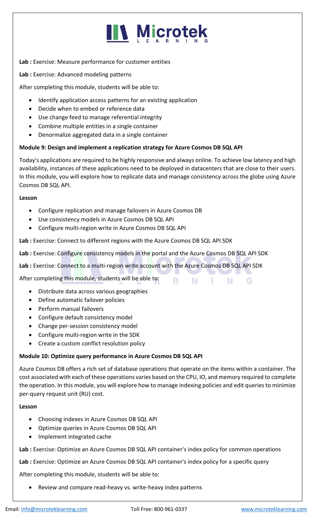# **IIV Microtek**

#### **Lab :** Exercise: Measure performance for customer entities

**Lab :** Exercise: Advanced modeling patterns

After completing this module, students will be able to:

- Identify application access patterns for an existing application
- Decide when to embed or reference data
- Use change feed to manage referential integrity
- Combine multiple entities in a single container
- Denormalize aggregated data in a single container

### **Module 9: Design and implement a replication strategy for Azure Cosmos DB SQL API**

Today's applications are required to be highly responsive and always online. To achieve low latency and high availability, instances of these applications need to be deployed in datacenters that are close to their users. In this module, you will explore how to replicate data and manage consistency across the globe using Azure Cosmos DB SQL API.

#### **Lesson**

- Configure replication and manage failovers in Azure Cosmos DB
- Use consistency models in Azure Cosmos DB SQL API
- Configure multi-region write in Azure Cosmos DB SQL API

**Lab :** Exercise: Connect to different regions with the Azure Cosmos DB SQL API SDK

**Lab :** Exercise: Configure consistency models in the portal and the Azure Cosmos DB SQL API SDK

 $\mathbf{L}$ 

N.

G

R N

**Lab :** Exercise: Connect to a multi-region write account with the Azure Cosmos DB SQL API SDK

After completing this module, students will be able to:

- Distribute data across various geographies
- Define automatic failover policies
- Perform manual failovers
- Configure default consistency model
- Change per-session consistency model
- Configure multi-region write in the SDK
- Create a custom conflict resolution policy

#### **Module 10: Optimize query performance in Azure Cosmos DB SQL API**

Azure Cosmos DB offers a rich set of database operations that operate on the items within a container. The cost associated with each of these operations varies based on the CPU, IO, and memory required to complete the operation. In this module, you will explore how to manage indexing policies and edit queries to minimize per-query request unit (RU) cost.

#### **Lesson**

- Choosing indexes in Azure Cosmos DB SQL API
- Optimize queries in Azure Cosmos DB SQL API
- Implement integrated cache

**Lab :** Exercise: Optimize an Azure Cosmos DB SQL API container's index policy for common operations

**Lab :** Exercise: Optimize an Azure Cosmos DB SQL API container's index policy for a specific query

After completing this module, students will be able to:

• Review and compare read-heavy vs. write-heavy index patterns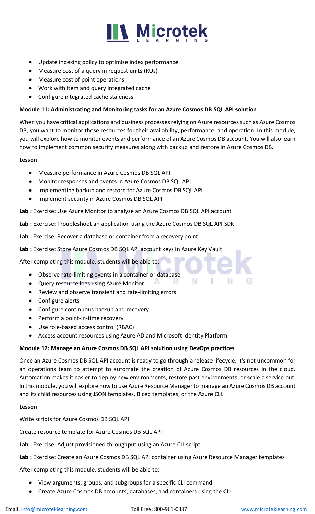

- Update indexing policy to optimize index performance
- Measure cost of a query in request units (RUs)
- Measure cost of point operations
- Work with item and query integrated cache
- Configure integrated cache staleness

#### **Module 11: Administrating and Monitoring tasks for an Azure Cosmos DB SQL API solution**

When you have critical applications and business processes relying on Azure resources such as Azure Cosmos DB, you want to monitor those resources for their availability, performance, and operation. In this module, you will explore how to monitor events and performance of an Azure Cosmos DB account. You will also learn how to implement common security measures along with backup and restore in Azure Cosmos DB.

#### **Lesson**

- Measure performance in Azure Cosmos DB SQL API
- Monitor responses and events in Azure Cosmos DB SQL API
- Implementing backup and restore for Azure Cosmos DB SQL API
- Implement security in Azure Cosmos DB SQL API

**Lab :** Exercise: Use Azure Monitor to analyze an Azure Cosmos DB SQL API account

**Lab :** Exercise: Troubleshoot an application using the Azure Cosmos DB SQL API SDK

**Lab :** Exercise: Recover a database or container from a recovery point

**Lab :** Exercise: Store Azure Cosmos DB SQL API account keys in Azure Key Vault

After completing this module, students will be able to:

- Observe rate-limiting events in a container or database
- Query resource logs using Azure Monitor
- Review and observe transient and rate-limiting errors
- Configure alerts
- Configure continuous backup and recovery
- Perform a point-in-time recovery
- Use role-based access control (RBAC)
- Access account resources using Azure AD and Microsoft Identity Platform

#### **Module 12: Manage an Azure Cosmos DB SQL API solution using DevOps practices**

Once an Azure Cosmos DB SQL API account is ready to go through a release lifecycle, it's not uncommon for an operations team to attempt to automate the creation of Azure Cosmos DB resources in the cloud. Automation makes it easier to deploy new environments, restore past environments, or scale a service out. In this module, you will explore how to use Azure Resource Manager to manage an Azure Cosmos DB account and its child resources using JSON templates, Bicep templates, or the Azure CLI.

A

к

Ν

#### **Lesson**

Write scripts for Azure Cosmos DB SQL API

Create resource template for Azure Cosmos DB SQL API

**Lab :** Exercise: Adjust provisioned throughput using an Azure CLI script

**Lab :** Exercise: Create an Azure Cosmos DB SQL API container using Azure Resource Manager templates

After completing this module, students will be able to:

- View arguments, groups, and subgroups for a specific CLI command
- Create Azure Cosmos DB accounts, databases, and containers using the CLI